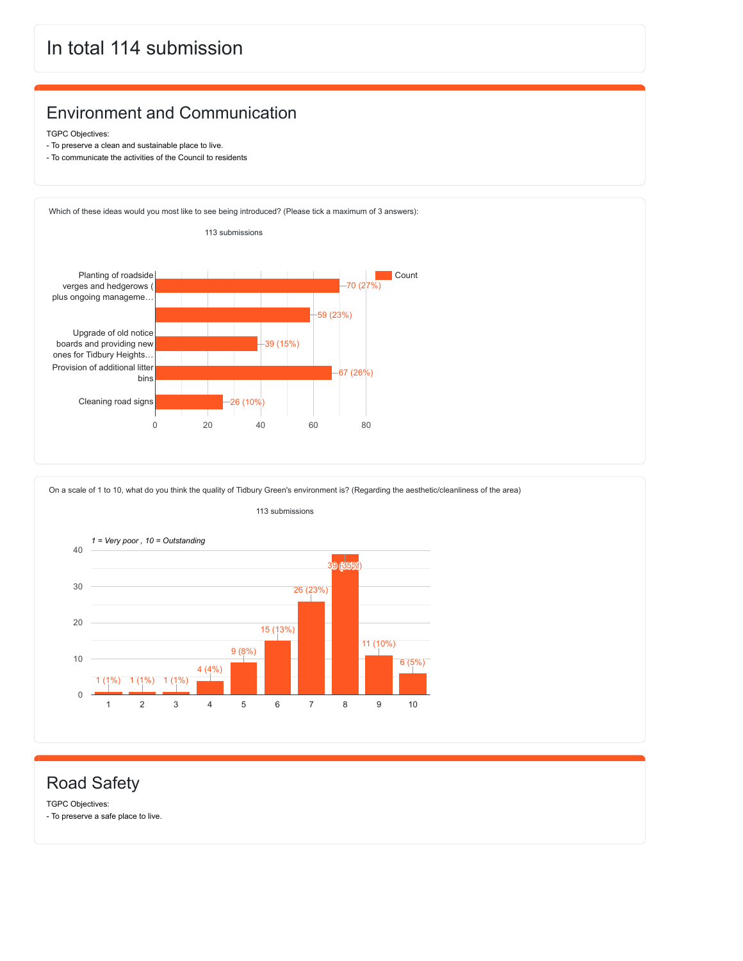## In total 114 submission

#### Environment and Communication

TGPC Objectives:

- To preserve a clean and sustainable place to live.
- To communicate the activities of the Council to residents



On a scale of 1 to 10, what do you think the quality of Tidbury Green's environment is? (Regarding the aesthetic/cleanliness of the area)



#### Road Safety

TGPC Objectives: - To preserve a safe place to live.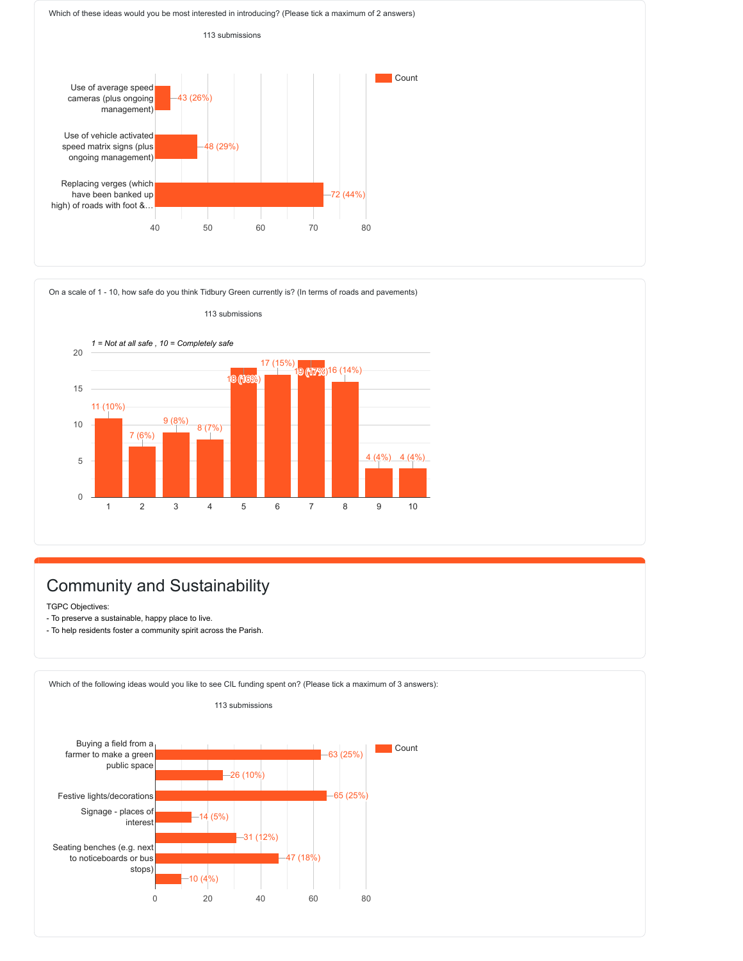Which of these ideas would you be most interested in introducing? (Please tick a maximum of 2 answers)



On a scale of 1 - 10, how safe do you think Tidbury Green currently is? (In terms of roads and pavements)



### Community and Sustainability

TGPC Objectives:

- To preserve a sustainable, happy place to live.
- To help residents foster a community spirit across the Parish.

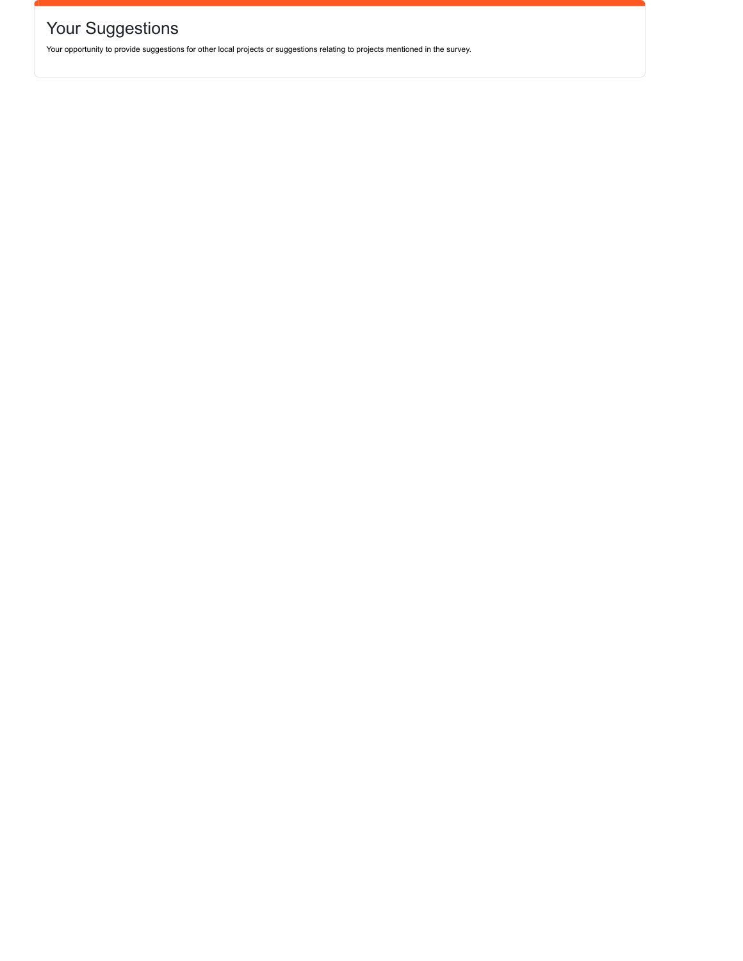# Your Suggestions

Your opportunity to provide suggestions for other local projects or suggestions relating to projects mentioned in the survey.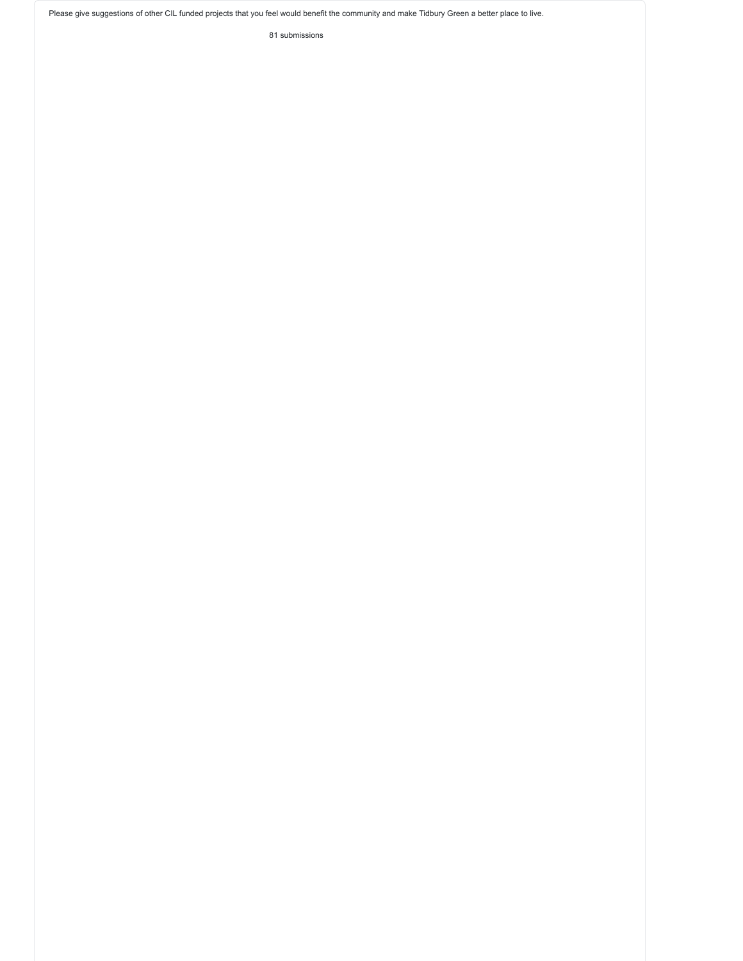Please give suggestions of other CIL funded projects that you feel would benefit the community and make Tidbury Green a better place to live.

81 submissions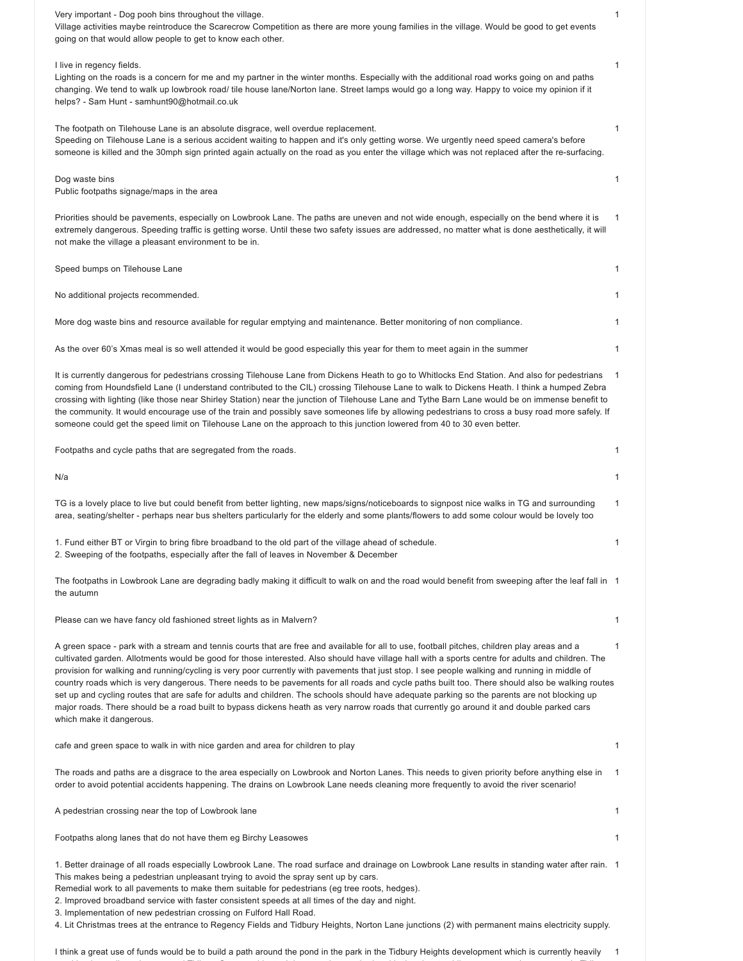| Very important - Dog pooh bins throughout the village.<br>Village activities maybe reintroduce the Scarecrow Competition as there are more young families in the village. Would be good to get events<br>going on that would allow people to get to know each other.                                                                                                                                                                                                                                                                                                                                                                                                                                                                                                                                                                                                                                                           | 1 |
|--------------------------------------------------------------------------------------------------------------------------------------------------------------------------------------------------------------------------------------------------------------------------------------------------------------------------------------------------------------------------------------------------------------------------------------------------------------------------------------------------------------------------------------------------------------------------------------------------------------------------------------------------------------------------------------------------------------------------------------------------------------------------------------------------------------------------------------------------------------------------------------------------------------------------------|---|
| I live in regency fields.<br>Lighting on the roads is a concern for me and my partner in the winter months. Especially with the additional road works going on and paths<br>changing. We tend to walk up lowbrook road/ tile house lane/Norton lane. Street lamps would go a long way. Happy to voice my opinion if it<br>helps? - Sam Hunt - samhunt90@hotmail.co.uk                                                                                                                                                                                                                                                                                                                                                                                                                                                                                                                                                          | 1 |
| The footpath on Tilehouse Lane is an absolute disgrace, well overdue replacement.<br>Speeding on Tilehouse Lane is a serious accident waiting to happen and it's only getting worse. We urgently need speed camera's before<br>someone is killed and the 30mph sign printed again actually on the road as you enter the village which was not replaced after the re-surfacing.                                                                                                                                                                                                                                                                                                                                                                                                                                                                                                                                                 | 1 |
| Dog waste bins<br>Public footpaths signage/maps in the area                                                                                                                                                                                                                                                                                                                                                                                                                                                                                                                                                                                                                                                                                                                                                                                                                                                                    | 1 |
| Priorities should be pavements, especially on Lowbrook Lane. The paths are uneven and not wide enough, especially on the bend where it is<br>extremely dangerous. Speeding traffic is getting worse. Until these two safety issues are addressed, no matter what is done aesthetically, it will<br>not make the village a pleasant environment to be in.                                                                                                                                                                                                                                                                                                                                                                                                                                                                                                                                                                       | 1 |
| Speed bumps on Tilehouse Lane                                                                                                                                                                                                                                                                                                                                                                                                                                                                                                                                                                                                                                                                                                                                                                                                                                                                                                  | 1 |
| No additional projects recommended.                                                                                                                                                                                                                                                                                                                                                                                                                                                                                                                                                                                                                                                                                                                                                                                                                                                                                            | 1 |
| More dog waste bins and resource available for regular emptying and maintenance. Better monitoring of non compliance.                                                                                                                                                                                                                                                                                                                                                                                                                                                                                                                                                                                                                                                                                                                                                                                                          | 1 |
| As the over 60's Xmas meal is so well attended it would be good especially this year for them to meet again in the summer                                                                                                                                                                                                                                                                                                                                                                                                                                                                                                                                                                                                                                                                                                                                                                                                      | 1 |
| It is currently dangerous for pedestrians crossing Tilehouse Lane from Dickens Heath to go to Whitlocks End Station. And also for pedestrians<br>coming from Houndsfield Lane (I understand contributed to the CIL) crossing Tilehouse Lane to walk to Dickens Heath. I think a humped Zebra<br>crossing with lighting (like those near Shirley Station) near the junction of Tilehouse Lane and Tythe Barn Lane would be on immense benefit to<br>the community. It would encourage use of the train and possibly save someones life by allowing pedestrians to cross a busy road more safely. If<br>someone could get the speed limit on Tilehouse Lane on the approach to this junction lowered from 40 to 30 even better.                                                                                                                                                                                                  | 1 |
| Footpaths and cycle paths that are segregated from the roads.                                                                                                                                                                                                                                                                                                                                                                                                                                                                                                                                                                                                                                                                                                                                                                                                                                                                  | 1 |
| N/a                                                                                                                                                                                                                                                                                                                                                                                                                                                                                                                                                                                                                                                                                                                                                                                                                                                                                                                            | 1 |
| TG is a lovely place to live but could benefit from better lighting, new maps/signs/noticeboards to signpost nice walks in TG and surrounding<br>area, seating/shelter - perhaps near bus shelters particularly for the elderly and some plants/flowers to add some colour would be lovely too                                                                                                                                                                                                                                                                                                                                                                                                                                                                                                                                                                                                                                 | 1 |
| 1. Fund either BT or Virgin to bring fibre broadband to the old part of the village ahead of schedule.<br>2. Sweeping of the footpaths, especially after the fall of leaves in November & December                                                                                                                                                                                                                                                                                                                                                                                                                                                                                                                                                                                                                                                                                                                             | 1 |
| The footpaths in Lowbrook Lane are degrading badly making it difficult to walk on and the road would benefit from sweeping after the leaf fall in 1<br>the autumn                                                                                                                                                                                                                                                                                                                                                                                                                                                                                                                                                                                                                                                                                                                                                              |   |
| Please can we have fancy old fashioned street lights as in Malvern?                                                                                                                                                                                                                                                                                                                                                                                                                                                                                                                                                                                                                                                                                                                                                                                                                                                            | 1 |
| A green space - park with a stream and tennis courts that are free and available for all to use, football pitches, children play areas and a<br>cultivated garden. Allotments would be good for those interested. Also should have village hall with a sports centre for adults and children. The<br>provision for walking and running/cycling is very poor currently with pavements that just stop. I see people walking and running in middle of<br>country roads which is very dangerous. There needs to be pavements for all roads and cycle paths built too. There should also be walking routes<br>set up and cycling routes that are safe for adults and children. The schools should have adequate parking so the parents are not blocking up<br>major roads. There should be a road built to bypass dickens heath as very narrow roads that currently go around it and double parked cars<br>which make it dangerous. | 1 |
| cafe and green space to walk in with nice garden and area for children to play                                                                                                                                                                                                                                                                                                                                                                                                                                                                                                                                                                                                                                                                                                                                                                                                                                                 | 1 |
| The roads and paths are a disgrace to the area especially on Lowbrook and Norton Lanes. This needs to given priority before anything else in<br>1<br>order to avoid potential accidents happening. The drains on Lowbrook Lane needs cleaning more frequently to avoid the river scenario!                                                                                                                                                                                                                                                                                                                                                                                                                                                                                                                                                                                                                                     |   |
| A pedestrian crossing near the top of Lowbrook lane                                                                                                                                                                                                                                                                                                                                                                                                                                                                                                                                                                                                                                                                                                                                                                                                                                                                            | 1 |
| Footpaths along lanes that do not have them eg Birchy Leasowes                                                                                                                                                                                                                                                                                                                                                                                                                                                                                                                                                                                                                                                                                                                                                                                                                                                                 | 1 |
| 1. Better drainage of all roads especially Lowbrook Lane. The road surface and drainage on Lowbrook Lane results in standing water after rain. 1<br>This makes being a pedestrian unpleasant trying to avoid the spray sent up by cars.<br>Remedial work to all pavements to make them suitable for pedestrians (eg tree roots, hedges).<br>2. Improved broadband service with faster consistent speeds at all times of the day and night.<br>3. Implementation of new pedestrian crossing on Fulford Hall Road.<br>4. Lit Christmas trees at the entrance to Regency Fields and Tidbury Heights, Norton Lane junctions (2) with permanent mains electricity supply.                                                                                                                                                                                                                                                           |   |

I think a great use of funds would be to build a path around the pond in the park in the Tidbury Heights development which is currently heavily 1used by dog walkers, joggers and Tidbury Green residents. It is currently unpathed and is the nicest public green space / open space in Tidbury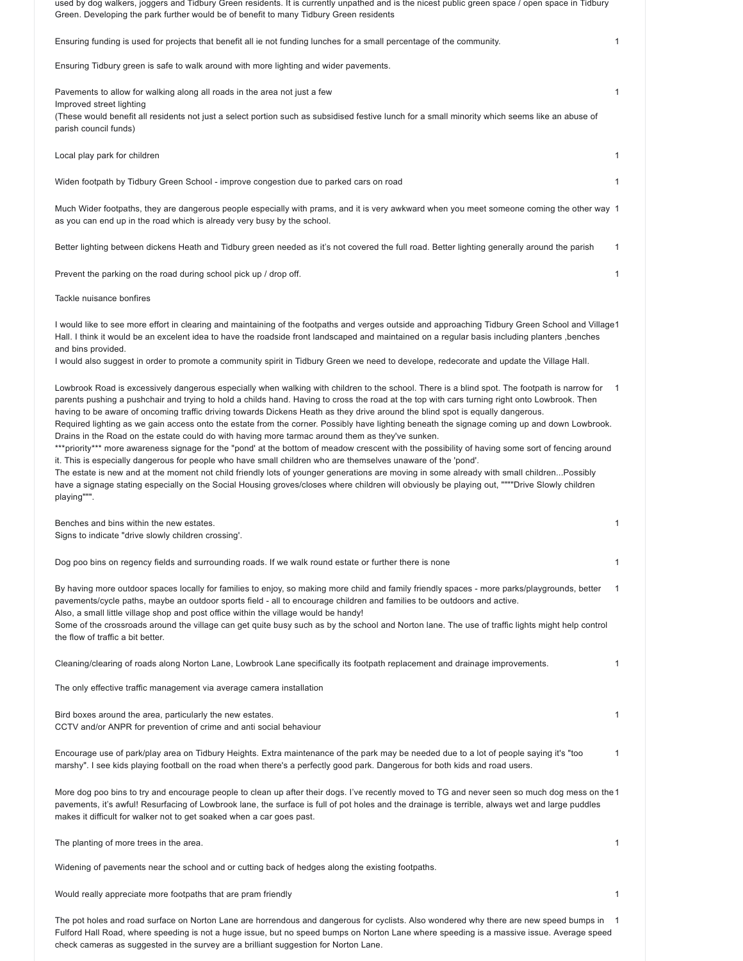| used by dog walkers, joggers and Tidbury Green residents. It is currently unpathed and is the nicest public green space / open space in Tidbury<br>Green. Developing the park further would be of benefit to many Tidbury Green residents                                                                                                                                                                                                                                                                                                                                                                                                                                                                                                                                                                                                                                                                                                                                                                                                                                                                                                                                                                                                                              |              |
|------------------------------------------------------------------------------------------------------------------------------------------------------------------------------------------------------------------------------------------------------------------------------------------------------------------------------------------------------------------------------------------------------------------------------------------------------------------------------------------------------------------------------------------------------------------------------------------------------------------------------------------------------------------------------------------------------------------------------------------------------------------------------------------------------------------------------------------------------------------------------------------------------------------------------------------------------------------------------------------------------------------------------------------------------------------------------------------------------------------------------------------------------------------------------------------------------------------------------------------------------------------------|--------------|
| Ensuring funding is used for projects that benefit all ie not funding lunches for a small percentage of the community.                                                                                                                                                                                                                                                                                                                                                                                                                                                                                                                                                                                                                                                                                                                                                                                                                                                                                                                                                                                                                                                                                                                                                 | $\mathbf{1}$ |
| Ensuring Tidbury green is safe to walk around with more lighting and wider pavements.                                                                                                                                                                                                                                                                                                                                                                                                                                                                                                                                                                                                                                                                                                                                                                                                                                                                                                                                                                                                                                                                                                                                                                                  |              |
| Pavements to allow for walking along all roads in the area not just a few<br>Improved street lighting<br>(These would benefit all residents not just a select portion such as subsidised festive lunch for a small minority which seems like an abuse of<br>parish council funds)                                                                                                                                                                                                                                                                                                                                                                                                                                                                                                                                                                                                                                                                                                                                                                                                                                                                                                                                                                                      | $\mathbf{1}$ |
| Local play park for children                                                                                                                                                                                                                                                                                                                                                                                                                                                                                                                                                                                                                                                                                                                                                                                                                                                                                                                                                                                                                                                                                                                                                                                                                                           | $\mathbf{1}$ |
| Widen footpath by Tidbury Green School - improve congestion due to parked cars on road                                                                                                                                                                                                                                                                                                                                                                                                                                                                                                                                                                                                                                                                                                                                                                                                                                                                                                                                                                                                                                                                                                                                                                                 | $\mathbf{1}$ |
| Much Wider footpaths, they are dangerous people especially with prams, and it is very awkward when you meet someone coming the other way 1<br>as you can end up in the road which is already very busy by the school.                                                                                                                                                                                                                                                                                                                                                                                                                                                                                                                                                                                                                                                                                                                                                                                                                                                                                                                                                                                                                                                  |              |
| Better lighting between dickens Heath and Tidbury green needed as it's not covered the full road. Better lighting generally around the parish                                                                                                                                                                                                                                                                                                                                                                                                                                                                                                                                                                                                                                                                                                                                                                                                                                                                                                                                                                                                                                                                                                                          | 1            |
| Prevent the parking on the road during school pick up / drop off.                                                                                                                                                                                                                                                                                                                                                                                                                                                                                                                                                                                                                                                                                                                                                                                                                                                                                                                                                                                                                                                                                                                                                                                                      | 1            |
| Tackle nuisance bonfires                                                                                                                                                                                                                                                                                                                                                                                                                                                                                                                                                                                                                                                                                                                                                                                                                                                                                                                                                                                                                                                                                                                                                                                                                                               |              |
| I would like to see more effort in clearing and maintaining of the footpaths and verges outside and approaching Tidbury Green School and Village1<br>Hall. I think it would be an excelent idea to have the roadside front landscaped and maintained on a regular basis including planters ,benches<br>and bins provided.                                                                                                                                                                                                                                                                                                                                                                                                                                                                                                                                                                                                                                                                                                                                                                                                                                                                                                                                              |              |
| I would also suggest in order to promote a community spirit in Tidbury Green we need to develope, redecorate and update the Village Hall.                                                                                                                                                                                                                                                                                                                                                                                                                                                                                                                                                                                                                                                                                                                                                                                                                                                                                                                                                                                                                                                                                                                              |              |
| Lowbrook Road is excessively dangerous especially when walking with children to the school. There is a blind spot. The footpath is narrow for<br>parents pushing a pushchair and trying to hold a childs hand. Having to cross the road at the top with cars turning right onto Lowbrook. Then<br>having to be aware of oncoming traffic driving towards Dickens Heath as they drive around the blind spot is equally dangerous.<br>Required lighting as we gain access onto the estate from the corner. Possibly have lighting beneath the signage coming up and down Lowbrook.<br>Drains in the Road on the estate could do with having more tarmac around them as they've sunken.<br>***priority*** more awareness signage for the "pond' at the bottom of meadow crescent with the possibility of having some sort of fencing around<br>it. This is especially dangerous for people who have small children who are themselves unaware of the 'pond'.<br>The estate is new and at the moment not child friendly lots of younger generations are moving in some already with small childrenPossibly<br>have a signage stating especially on the Social Housing groves/closes where children will obviously be playing out, """"Drive Slowly children<br>playing""". | -1           |
| Benches and bins within the new estates.<br>Signs to indicate "drive slowly children crossing'.                                                                                                                                                                                                                                                                                                                                                                                                                                                                                                                                                                                                                                                                                                                                                                                                                                                                                                                                                                                                                                                                                                                                                                        | 1            |
| Dog poo bins on regency fields and surrounding roads. If we walk round estate or further there is none                                                                                                                                                                                                                                                                                                                                                                                                                                                                                                                                                                                                                                                                                                                                                                                                                                                                                                                                                                                                                                                                                                                                                                 | 1            |
| By having more outdoor spaces locally for families to enjoy, so making more child and family friendly spaces - more parks/playgrounds, better<br>pavements/cycle paths, maybe an outdoor sports field - all to encourage children and families to be outdoors and active.<br>Also, a small little village shop and post office within the village would be handy!<br>Some of the crossroads around the village can get quite busy such as by the school and Norton lane. The use of traffic lights might help control<br>the flow of traffic a bit better.                                                                                                                                                                                                                                                                                                                                                                                                                                                                                                                                                                                                                                                                                                             | 1            |
| Cleaning/clearing of roads along Norton Lane, Lowbrook Lane specifically its footpath replacement and drainage improvements.                                                                                                                                                                                                                                                                                                                                                                                                                                                                                                                                                                                                                                                                                                                                                                                                                                                                                                                                                                                                                                                                                                                                           | 1            |
| The only effective traffic management via average camera installation                                                                                                                                                                                                                                                                                                                                                                                                                                                                                                                                                                                                                                                                                                                                                                                                                                                                                                                                                                                                                                                                                                                                                                                                  |              |
| Bird boxes around the area, particularly the new estates.<br>CCTV and/or ANPR for prevention of crime and anti social behaviour                                                                                                                                                                                                                                                                                                                                                                                                                                                                                                                                                                                                                                                                                                                                                                                                                                                                                                                                                                                                                                                                                                                                        | 1            |
| Encourage use of park/play area on Tidbury Heights. Extra maintenance of the park may be needed due to a lot of people saying it's "too<br>marshy". I see kids playing football on the road when there's a perfectly good park. Dangerous for both kids and road users.                                                                                                                                                                                                                                                                                                                                                                                                                                                                                                                                                                                                                                                                                                                                                                                                                                                                                                                                                                                                | 1            |
| More dog poo bins to try and encourage people to clean up after their dogs. I've recently moved to TG and never seen so much dog mess on the 1<br>pavements, it's awful! Resurfacing of Lowbrook lane, the surface is full of pot holes and the drainage is terrible, always wet and large puddles<br>makes it difficult for walker not to get soaked when a car goes past.                                                                                                                                                                                                                                                                                                                                                                                                                                                                                                                                                                                                                                                                                                                                                                                                                                                                                            |              |
| The planting of more trees in the area.                                                                                                                                                                                                                                                                                                                                                                                                                                                                                                                                                                                                                                                                                                                                                                                                                                                                                                                                                                                                                                                                                                                                                                                                                                | 1            |
| Widening of pavements near the school and or cutting back of hedges along the existing footpaths.                                                                                                                                                                                                                                                                                                                                                                                                                                                                                                                                                                                                                                                                                                                                                                                                                                                                                                                                                                                                                                                                                                                                                                      |              |
| Would really appreciate more footpaths that are pram friendly                                                                                                                                                                                                                                                                                                                                                                                                                                                                                                                                                                                                                                                                                                                                                                                                                                                                                                                                                                                                                                                                                                                                                                                                          | 1            |

The pot holes and road surface on Norton Lane are horrendous and dangerous for cyclists. Also wondered why there are new speed bumps in 1Fulford Hall Road, where speeding is not a huge issue, but no speed bumps on Norton Lane where speeding is a massive issue. Average speed check cameras as suggested in the survey are a brilliant suggestion for Norton Lane.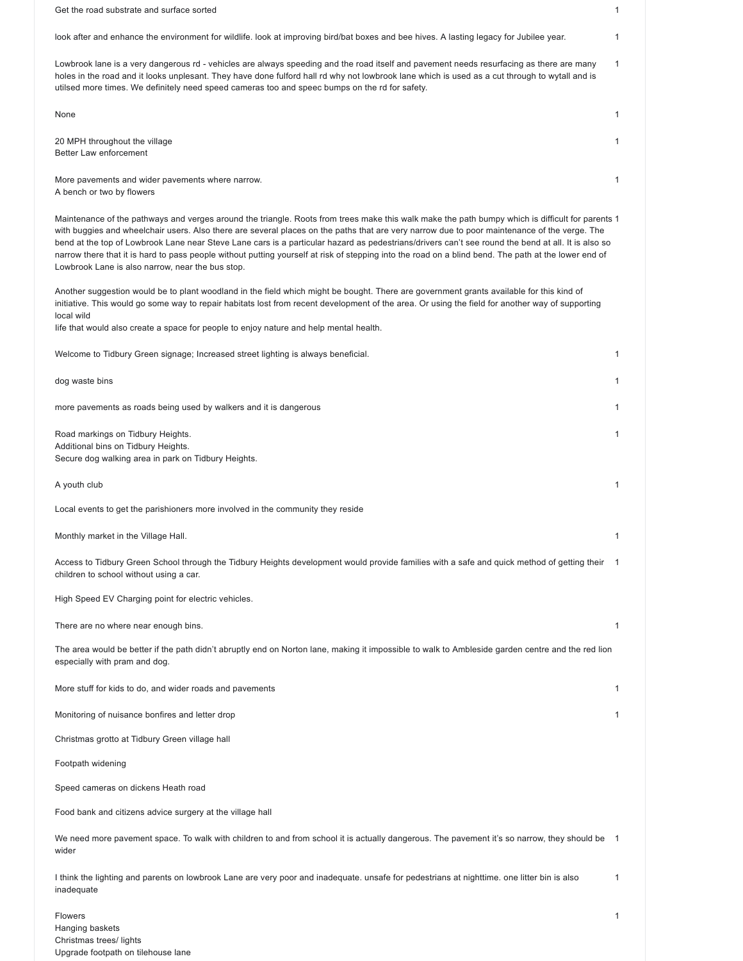Get the road substrate and surface sorted 1 look after and enhance the environment for wildlife. look at improving bird/bat boxes and bee hives. A lasting legacy for Jubilee year. 1 Lowbrook lane is a very dangerous rd - vehicles are always speeding and the road itself and pavement needs resurfacing as there are many holes in the road and it looks unplesant. They have done fulford hall rd why not lowbrook lane which is used as a cut through to wytall and is utilsed more times. We definitely need speed cameras too and speec bumps on the rd for safety. 1 None that the contract of the contract of the contract of the contract of the contract of the contract of the contract of the contract of the contract of the contract of the contract of the contract of the contract of the 20 MPH throughout the village Better Law enforcement 1 More pavements and wider pavements where narrow. A bench or two by flowers 1 Maintenance of the pathways and verges around the triangle. Roots from trees make this walk make the path bumpy which is difficult for parents 1 with buggies and wheelchair users. Also there are several places on the paths that are very narrow due to poor maintenance of the verge. The bend at the top of Lowbrook Lane near Steve Lane cars is a particular hazard as pedestrians/drivers can't see round the bend at all. It is also so narrow there that it is hard to pass people without putting yourself at risk of stepping into the road on a blind bend. The path at the lower end of Lowbrook Lane is also narrow, near the bus stop. Another suggestion would be to plant woodland in the field which might be bought. There are government grants available for this kind of initiative. This would go some way to repair habitats lost from recent development of the area. Or using the field for another way of supporting local wild Iife that would also create a space for people to enjoy nature and help mental health. Welcome to Tidbury Green signage; Increased street lighting is always beneficial. 1 dog waste bins and the set of the set of the set of the set of the set of the set of the set of the set of the set of the set of the set of the set of the set of the set of the set of the set of the set of the set of the s more pavements as roads being used by walkers and it is dangerous 1 and 1 and 1 and 1 and 1 and 1 and 1 and 1 and 1 and 1 and 1 and 1 and 1 and 1 and 1 and 1 and 1 and 1 and 1 and 1 and 1 and 1 and 1 and 1 and 1 and 1 and Road markings on Tidbury Heights. Additional bins on Tidbury Heights. Secure dog walking area in park on Tidbury Heights. 1 A youth club Local events to get the parishioners more involved in the community they reside 1 Monthly market in the Village Hall. 1 Access to Tidbury Green School through the Tidbury Heights development would provide families with a safe and quick method of getting their children to school without using a car. High Speed EV Charging point for electric vehicles. 1 There are no where near enough bins. The area would be better if the path didn't abruptly end on Norton lane, making it impossible to walk to Ambleside garden centre and the red lion especially with pram and dog. 1 More stuff for kids to do, and wider roads and pavements 1 Monitoring of nuisance bonfires and letter drop Christmas grotto at Tidbury Green village hall Footpath widening Speed cameras on dickens Heath road Food bank and citizens advice surgery at the village hall 1 We need more pavement space. To walk with children to and from school it is actually dangerous. The pavement it's so narrow, they should be 1 wider I think the lighting and parents on lowbrook Lane are very poor and inadequate. unsafe for pedestrians at nighttime. one litter bin is also inadequate 1

Flowers Hanging baskets Christmas trees/ lights Upgrade footpath on tilehouse lane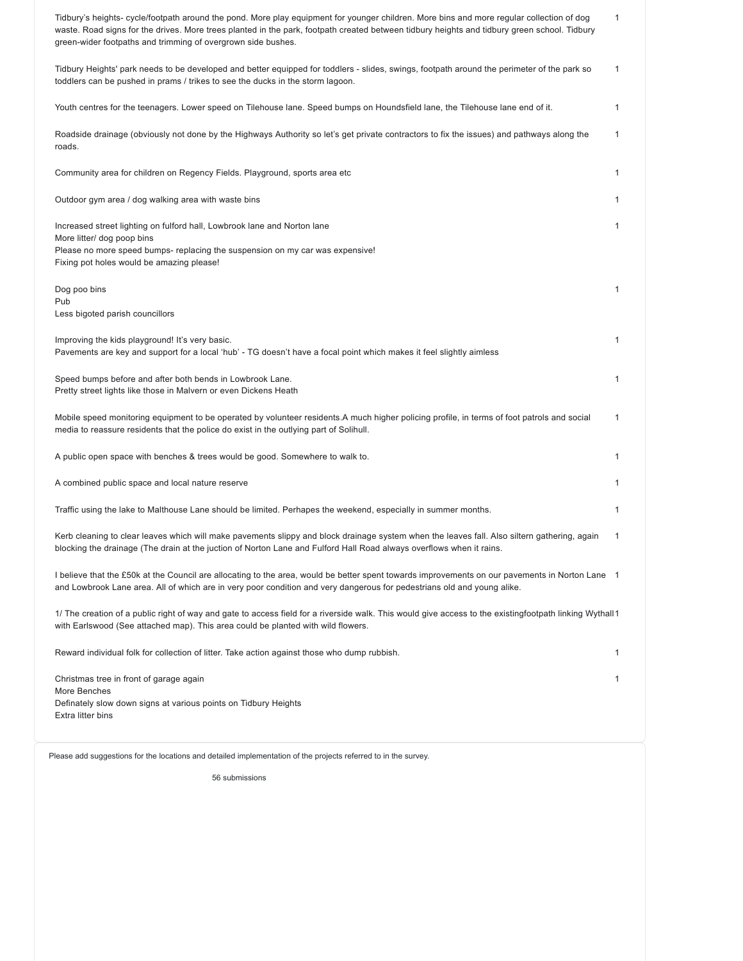| Tidbury's heights- cycle/footpath around the pond. More play equipment for younger children. More bins and more regular collection of dog<br>waste. Road signs for the drives. More trees planted in the park, footpath created between tidbury heights and tidbury green school. Tidbury<br>green-wider footpaths and trimming of overgrown side bushes. | $\mathbf{1}$ |
|-----------------------------------------------------------------------------------------------------------------------------------------------------------------------------------------------------------------------------------------------------------------------------------------------------------------------------------------------------------|--------------|
| Tidbury Heights' park needs to be developed and better equipped for toddlers - slides, swings, footpath around the perimeter of the park so<br>toddlers can be pushed in prams / trikes to see the ducks in the storm lagoon.                                                                                                                             | $\mathbf{1}$ |
| Youth centres for the teenagers. Lower speed on Tilehouse lane. Speed bumps on Houndsfield lane, the Tilehouse lane end of it.                                                                                                                                                                                                                            | 1            |
| Roadside drainage (obviously not done by the Highways Authority so let's get private contractors to fix the issues) and pathways along the<br>roads.                                                                                                                                                                                                      | $\mathbf{1}$ |
| Community area for children on Regency Fields. Playground, sports area etc                                                                                                                                                                                                                                                                                | 1            |
| Outdoor gym area / dog walking area with waste bins                                                                                                                                                                                                                                                                                                       | 1            |
| Increased street lighting on fulford hall, Lowbrook lane and Norton lane<br>More litter/ dog poop bins<br>Please no more speed bumps- replacing the suspension on my car was expensive!<br>Fixing pot holes would be amazing please!                                                                                                                      | 1            |
| Dog poo bins<br>Pub<br>Less bigoted parish councillors                                                                                                                                                                                                                                                                                                    | 1            |
| Improving the kids playground! It's very basic.<br>Pavements are key and support for a local 'hub' - TG doesn't have a focal point which makes it feel slightly aimless                                                                                                                                                                                   | $\mathbf{1}$ |
| Speed bumps before and after both bends in Lowbrook Lane.<br>Pretty street lights like those in Malvern or even Dickens Heath                                                                                                                                                                                                                             | 1            |
| Mobile speed monitoring equipment to be operated by volunteer residents.A much higher policing profile, in terms of foot patrols and social<br>media to reassure residents that the police do exist in the outlying part of Solihull.                                                                                                                     | $\mathbf{1}$ |
| A public open space with benches & trees would be good. Somewhere to walk to.                                                                                                                                                                                                                                                                             | 1            |
| A combined public space and local nature reserve                                                                                                                                                                                                                                                                                                          | 1            |
| Traffic using the lake to Malthouse Lane should be limited. Perhapes the weekend, especially in summer months.                                                                                                                                                                                                                                            | $\mathbf{1}$ |
| Kerb cleaning to clear leaves which will make pavements slippy and block drainage system when the leaves fall. Also siltern gathering, again<br>blocking the drainage (The drain at the juction of Norton Lane and Fulford Hall Road always overflows when it rains.                                                                                      | 1            |
| 1 believe that the £50k at the Council are allocating to the area, would be better spent towards improvements on our pavements in Norton Lane 1<br>and Lowbrook Lane area. All of which are in very poor condition and very dangerous for pedestrians old and young alike.                                                                                |              |
| 1/ The creation of a public right of way and gate to access field for a riverside walk. This would give access to the existingfootpath linking Wythall 1<br>with Earlswood (See attached map). This area could be planted with wild flowers.                                                                                                              |              |
| Reward individual folk for collection of litter. Take action against those who dump rubbish.                                                                                                                                                                                                                                                              | 1            |
| Christmas tree in front of garage again<br>More Benches<br>Definately slow down signs at various points on Tidbury Heights<br>Extra litter bins                                                                                                                                                                                                           | 1            |

Please add suggestions for the locations and detailed implementation of the projects referred to in the survey.

56 submissions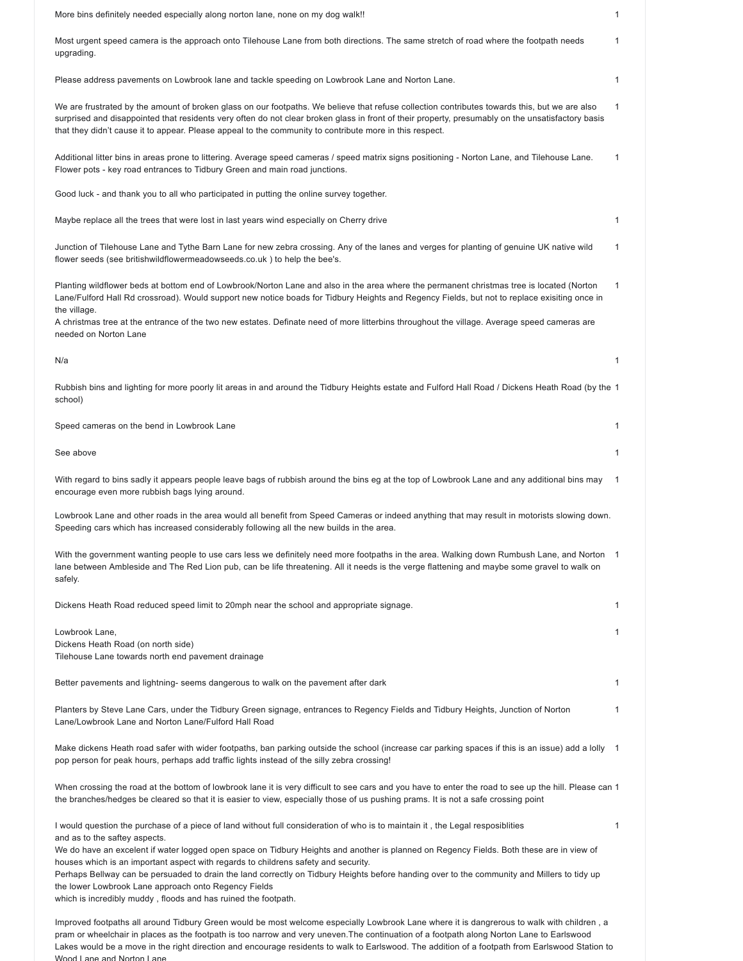| More bins definitely needed especially along norton lane, none on my dog walk!!                                                                                                                                                                                                                                                                                                                                                                                                                                                                                                                                                                                            | $\mathbf{1}$   |
|----------------------------------------------------------------------------------------------------------------------------------------------------------------------------------------------------------------------------------------------------------------------------------------------------------------------------------------------------------------------------------------------------------------------------------------------------------------------------------------------------------------------------------------------------------------------------------------------------------------------------------------------------------------------------|----------------|
| Most urgent speed camera is the approach onto Tilehouse Lane from both directions. The same stretch of road where the footpath needs<br>upgrading.                                                                                                                                                                                                                                                                                                                                                                                                                                                                                                                         | 1              |
| Please address pavements on Lowbrook lane and tackle speeding on Lowbrook Lane and Norton Lane.                                                                                                                                                                                                                                                                                                                                                                                                                                                                                                                                                                            | $\mathbf{1}$   |
| We are frustrated by the amount of broken glass on our footpaths. We believe that refuse collection contributes towards this, but we are also<br>surprised and disappointed that residents very often do not clear broken glass in front of their property, presumably on the unsatisfactory basis<br>that they didn't cause it to appear. Please appeal to the community to contribute more in this respect.                                                                                                                                                                                                                                                              | 1              |
| Additional litter bins in areas prone to littering. Average speed cameras / speed matrix signs positioning - Norton Lane, and Tilehouse Lane.<br>Flower pots - key road entrances to Tidbury Green and main road junctions.                                                                                                                                                                                                                                                                                                                                                                                                                                                | 1              |
| Good luck - and thank you to all who participated in putting the online survey together.                                                                                                                                                                                                                                                                                                                                                                                                                                                                                                                                                                                   |                |
| Maybe replace all the trees that were lost in last years wind especially on Cherry drive                                                                                                                                                                                                                                                                                                                                                                                                                                                                                                                                                                                   | $\mathbf{1}$   |
| Junction of Tilehouse Lane and Tythe Barn Lane for new zebra crossing. Any of the lanes and verges for planting of genuine UK native wild<br>flower seeds (see britishwildflowermeadowseeds.co.uk) to help the bee's.                                                                                                                                                                                                                                                                                                                                                                                                                                                      | 1              |
| Planting wildflower beds at bottom end of Lowbrook/Norton Lane and also in the area where the permanent christmas tree is located (Norton<br>Lane/Fulford Hall Rd crossroad). Would support new notice boads for Tidbury Heights and Regency Fields, but not to replace exisiting once in                                                                                                                                                                                                                                                                                                                                                                                  | $\mathbf{1}$   |
| the village.<br>A christmas tree at the entrance of the two new estates. Definate need of more litterbins throughout the village. Average speed cameras are<br>needed on Norton Lane                                                                                                                                                                                                                                                                                                                                                                                                                                                                                       |                |
| N/a                                                                                                                                                                                                                                                                                                                                                                                                                                                                                                                                                                                                                                                                        | $\mathbf{1}$   |
| Rubbish bins and lighting for more poorly lit areas in and around the Tidbury Heights estate and Fulford Hall Road / Dickens Heath Road (by the 1<br>school)                                                                                                                                                                                                                                                                                                                                                                                                                                                                                                               |                |
| Speed cameras on the bend in Lowbrook Lane                                                                                                                                                                                                                                                                                                                                                                                                                                                                                                                                                                                                                                 | 1              |
| See above                                                                                                                                                                                                                                                                                                                                                                                                                                                                                                                                                                                                                                                                  | $\mathbf{1}$   |
| With regard to bins sadly it appears people leave bags of rubbish around the bins eg at the top of Lowbrook Lane and any additional bins may<br>encourage even more rubbish bags lying around.                                                                                                                                                                                                                                                                                                                                                                                                                                                                             | -1             |
| Lowbrook Lane and other roads in the area would all benefit from Speed Cameras or indeed anything that may result in motorists slowing down.<br>Speeding cars which has increased considerably following all the new builds in the area.                                                                                                                                                                                                                                                                                                                                                                                                                                   |                |
| With the government wanting people to use cars less we definitely need more footpaths in the area. Walking down Rumbush Lane, and Norton<br>lane between Ambleside and The Red Lion pub, can be life threatening. All it needs is the verge flattening and maybe some gravel to walk on<br>safely.                                                                                                                                                                                                                                                                                                                                                                         | $\overline{1}$ |
| Dickens Heath Road reduced speed limit to 20mph near the school and appropriate signage.                                                                                                                                                                                                                                                                                                                                                                                                                                                                                                                                                                                   | 1              |
| Lowbrook Lane,<br>Dickens Heath Road (on north side)<br>Tilehouse Lane towards north end pavement drainage                                                                                                                                                                                                                                                                                                                                                                                                                                                                                                                                                                 | $\mathbf{1}$   |
| Better pavements and lightning- seems dangerous to walk on the pavement after dark                                                                                                                                                                                                                                                                                                                                                                                                                                                                                                                                                                                         | $\mathbf{1}$   |
| Planters by Steve Lane Cars, under the Tidbury Green signage, entrances to Regency Fields and Tidbury Heights, Junction of Norton<br>Lane/Lowbrook Lane and Norton Lane/Fulford Hall Road                                                                                                                                                                                                                                                                                                                                                                                                                                                                                  | 1              |
| Make dickens Heath road safer with wider footpaths, ban parking outside the school (increase car parking spaces if this is an issue) add a lolly 1<br>pop person for peak hours, perhaps add traffic lights instead of the silly zebra crossing!                                                                                                                                                                                                                                                                                                                                                                                                                           |                |
| When crossing the road at the bottom of lowbrook lane it is very difficult to see cars and you have to enter the road to see up the hill. Please can 1<br>the branches/hedges be cleared so that it is easier to view, especially those of us pushing prams. It is not a safe crossing point                                                                                                                                                                                                                                                                                                                                                                               |                |
| I would question the purchase of a piece of land without full consideration of who is to maintain it, the Legal resposiblities<br>and as to the saftey aspects.<br>We do have an excelent if water logged open space on Tidbury Heights and another is planned on Regency Fields. Both these are in view of<br>houses which is an important aspect with regards to childrens safety and security.<br>Perhaps Bellway can be persuaded to drain the land correctly on Tidbury Heights before handing over to the community and Millers to tidy up<br>the lower Lowbrook Lane approach onto Regency Fields<br>which is incredibly muddy, floods and has ruined the footpath. | 1              |
| Improved footpaths all around Tidbury Green would be most welcome especially Lowbrook Lane where it is dangrerous to walk with children, a                                                                                                                                                                                                                                                                                                                                                                                                                                                                                                                                 |                |

pram or wheelchair in places as the footpath is too narrow and very uneven.The continuation of a footpath along Norton Lane to Earlswood Lakes would be a move in the right direction and encourage residents to walk to Earlswood. The addition of a footpath from Earlswood Station to

Wood Lane and Norton Lane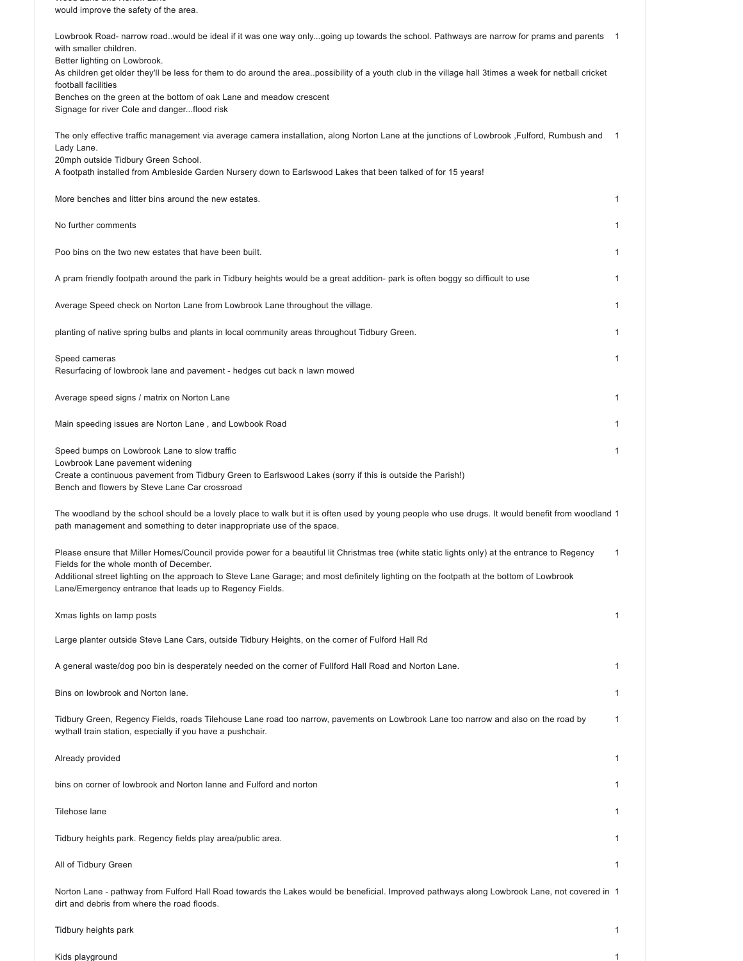Wood Lane and Norton Lane would improve the safety of the area.

| Lowbrook Road- narrow roadwould be ideal if it was one way onlygoing up towards the school. Pathways are narrow for prams and parents<br>with smaller children.                                                                                                                                                                                                                                  |              |
|--------------------------------------------------------------------------------------------------------------------------------------------------------------------------------------------------------------------------------------------------------------------------------------------------------------------------------------------------------------------------------------------------|--------------|
| Better lighting on Lowbrook.<br>As children get older they'll be less for them to do around the areapossibility of a youth club in the village hall 3times a week for netball cricket                                                                                                                                                                                                            |              |
| football facilities<br>Benches on the green at the bottom of oak Lane and meadow crescent<br>Signage for river Cole and dangerflood risk                                                                                                                                                                                                                                                         |              |
| The only effective traffic management via average camera installation, along Norton Lane at the junctions of Lowbrook ,Fulford, Rumbush and<br>Lady Lane.                                                                                                                                                                                                                                        | -1           |
| 20mph outside Tidbury Green School.<br>A footpath installed from Ambleside Garden Nursery down to Earlswood Lakes that been talked of for 15 years!                                                                                                                                                                                                                                              |              |
| More benches and litter bins around the new estates.                                                                                                                                                                                                                                                                                                                                             | 1            |
| No further comments                                                                                                                                                                                                                                                                                                                                                                              | 1            |
| Poo bins on the two new estates that have been built.                                                                                                                                                                                                                                                                                                                                            | $\mathbf{1}$ |
| A pram friendly footpath around the park in Tidbury heights would be a great addition- park is often boggy so difficult to use                                                                                                                                                                                                                                                                   | 1            |
| Average Speed check on Norton Lane from Lowbrook Lane throughout the village.                                                                                                                                                                                                                                                                                                                    | 1            |
| planting of native spring bulbs and plants in local community areas throughout Tidbury Green.                                                                                                                                                                                                                                                                                                    | 1            |
| Speed cameras<br>Resurfacing of lowbrook lane and pavement - hedges cut back n lawn mowed                                                                                                                                                                                                                                                                                                        | 1            |
| Average speed signs / matrix on Norton Lane                                                                                                                                                                                                                                                                                                                                                      | $\mathbf{1}$ |
| Main speeding issues are Norton Lane , and Lowbook Road                                                                                                                                                                                                                                                                                                                                          | 1            |
| Speed bumps on Lowbrook Lane to slow traffic<br>Lowbrook Lane pavement widening<br>Create a continuous pavement from Tidbury Green to Earlswood Lakes (sorry if this is outside the Parish!)<br>Bench and flowers by Steve Lane Car crossroad                                                                                                                                                    | 1            |
| The woodland by the school should be a lovely place to walk but it is often used by young people who use drugs. It would benefit from woodland 1<br>path management and something to deter inappropriate use of the space.                                                                                                                                                                       |              |
| Please ensure that Miller Homes/Council provide power for a beautiful lit Christmas tree (white static lights only) at the entrance to Regency<br>Fields for the whole month of December.<br>Additional street lighting on the approach to Steve Lane Garage; and most definitely lighting on the footpath at the bottom of Lowbrook<br>Lane/Emergency entrance that leads up to Regency Fields. | 1            |
| Xmas lights on lamp posts                                                                                                                                                                                                                                                                                                                                                                        | $\mathbf{1}$ |
| Large planter outside Steve Lane Cars, outside Tidbury Heights, on the corner of Fulford Hall Rd                                                                                                                                                                                                                                                                                                 |              |
| A general waste/dog poo bin is desperately needed on the corner of Fullford Hall Road and Norton Lane.                                                                                                                                                                                                                                                                                           | 1            |
| Bins on lowbrook and Norton lane.                                                                                                                                                                                                                                                                                                                                                                | 1            |
| Tidbury Green, Regency Fields, roads Tilehouse Lane road too narrow, pavements on Lowbrook Lane too narrow and also on the road by<br>wythall train station, especially if you have a pushchair.                                                                                                                                                                                                 | 1            |
| Already provided                                                                                                                                                                                                                                                                                                                                                                                 | 1            |
| bins on corner of lowbrook and Norton lanne and Fulford and norton                                                                                                                                                                                                                                                                                                                               | 1            |
| Tilehose lane                                                                                                                                                                                                                                                                                                                                                                                    | 1            |
| Tidbury heights park. Regency fields play area/public area.                                                                                                                                                                                                                                                                                                                                      | 1            |
| All of Tidbury Green                                                                                                                                                                                                                                                                                                                                                                             | 1            |
| Norton Lane - pathway from Fulford Hall Road towards the Lakes would be beneficial. Improved pathways along Lowbrook Lane, not covered in 1<br>dirt and debris from where the road floods.                                                                                                                                                                                                       |              |

Tidbury heights park 1

Kids playground 1